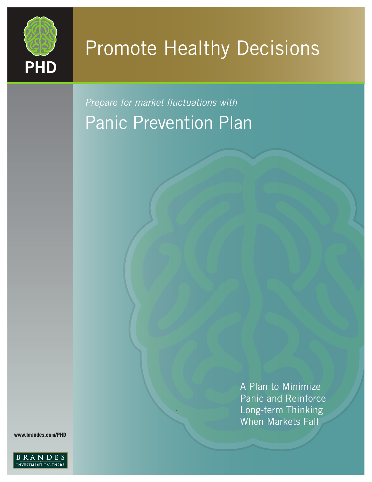

# Promote Healthy Decisions

*Prepare for market fluctuations with* Panic Prevention Plan

.

A Plan to Minimize Panic and Reinforce Long-term Thinking When Markets Fall

**www.brandes.com/PHD**

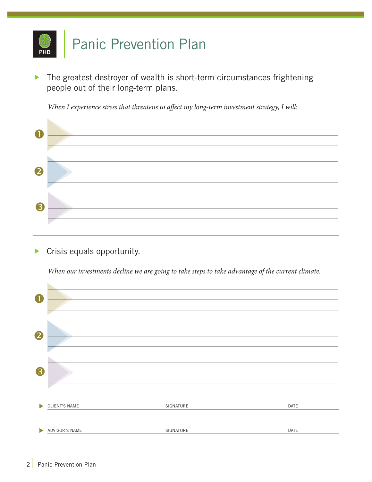

The greatest destroyer of wealth is short-term circumstances frightening people out of their long-term plans.

*When I experience stress that threatens to affect my long-term investment strategy, I will:*

| R |  |
|---|--|
|   |  |
|   |  |

**Crisis equals opportunity.** 

*When our investments decline we are going to take steps to take advantage of the current climate:*

| $\mathbf 0$           |                |           |      |
|-----------------------|----------------|-----------|------|
| 2                     |                |           |      |
| 3                     |                |           |      |
| $\blacktriangleright$ | CLIENT'S NAME  | SIGNATURE | DATE |
| $\blacktriangleright$ | ADVISOR'S NAME | SIGNATURE | DATE |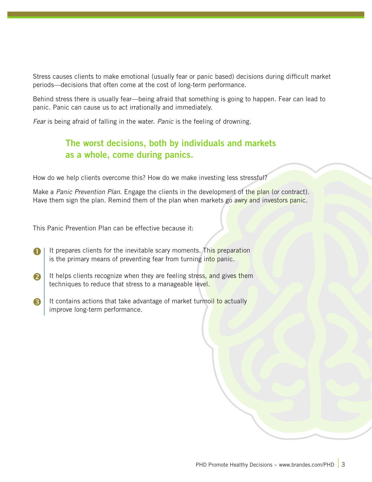Stress causes clients to make emotional (usually fear or panic based) decisions during difficult market periods—decisions that often come at the cost of long-term performance.

Behind stress there is usually fear—being afraid that something is going to happen. Fear can lead to panic. Panic can cause us to act irrationally and immediately.

*Fear* is being afraid of falling in the water. *Panic* is the feeling of drowning.

# The worst decisions, both by individuals and markets as a whole, come during panics.

How do we help clients overcome this? How do we make investing less stressful?

Make a *Panic Prevention Plan*. Engage the clients in the development of the plan (or contract). Have them sign the plan. Remind them of the plan when markets go awry and investors panic.

This Panic Prevention Plan can be effective because it:

- It prepares clients for the inevitable scary moments. This preparation is the primary means of preventing fear from turning into panic.  $\blacksquare$
- It helps clients recognize when they are feeling stress, and gives them techniques to reduce that stress to a manageable level. 2
- It contains actions that take advantage of market turmoil to actually improve long-term performance. 6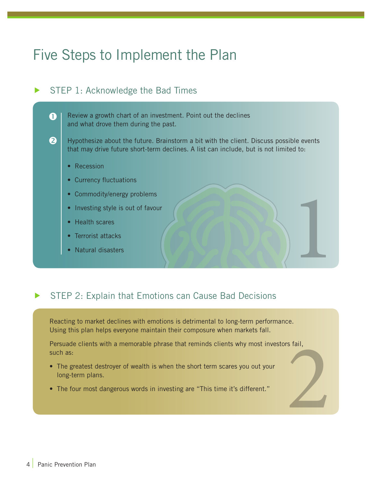# Five Steps to Implement the Plan

# $\triangleright$  STEP 1: Acknowledge the Bad Times

Review a growth chart of an investment. Point out the declines and what drove them during the past.

- Hypothesize about the future. Brainstorm a bit with the client. Discuss possible events that may drive future short-term declines. A list can include, but is not limited to:
	- Recession

 $\mathbf 0$ 

2

- Currency fluctuations
- Commodity/energy problems
- Investing style is out of favour • Commodity/energy problems<br>• Investing style is out of favour<br>• Health scares<br>• Natural disasters<br>• Natural disasters
- Health scares
- Terrorist attacks
- 

## STEP 2: Explain that Emotions can Cause Bad Decisions

Reacting to market declines with emotions is detrimental to long-term performance. Using this plan helps everyone maintain their composure when markets fall.

Persuade clients with a memorable phrase that reminds clients why most investors fail, such as:  $\sum$ 

- The greatest destroyer of wealth is when the short term scares you out your long-term plans.
- The four most dangerous words in investing are "This time it's different."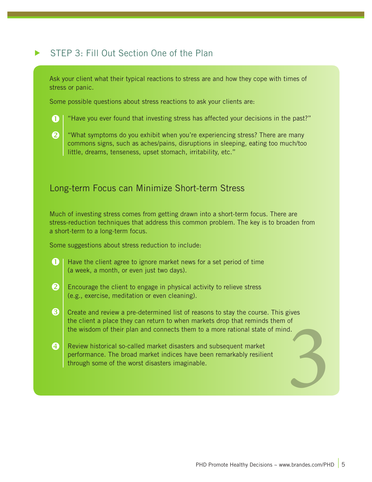# STEP 3: Fill Out Section One of the Plan

Ask your client what their typical reactions to stress are and how they cope with times of stress or panic.

Some possible questions about stress reactions to ask your clients are:

"Have you ever found that investing stress has affected your decisions in the past?" O



"What symptoms do you exhibit when you're experiencing stress? There are many commons signs, such as aches/pains, disruptions in sleeping, eating too much/too little, dreams, tenseness, upset stomach, irritability, etc."

#### Long-term Focus can Minimize Short-term Stress

Much of investing stress comes from getting drawn into a short-term focus. There are stress-reduction techniques that address this common problem. The key is to broaden from a short-term to a long-term focus.

Some suggestions about stress reduction to include:

- Have the client agree to ignore market news for a set period of time (a week, a month, or even just two days).  $\mathbf \Omega$
- Encourage the client to engage in physical activity to relieve stress (e.g., exercise, meditation or even cleaning). 2
- Create and review a pre-determined list of reasons to stay the course. This gives the client a place they can return to when markets drop that reminds them of the wisdom of their plan and connects them to a more rational state of mind.  $\mathbf{e}$
- Review historical so-called market disasters and subsequent market performance. The broad market indices have been remarkably resilient the client a place they can return to when markets drop that reminds them of<br>the wisdom of their plan and connects them to a more rational state of mind.<br>Review historical so-called market disasters and subsequent market<br>p 4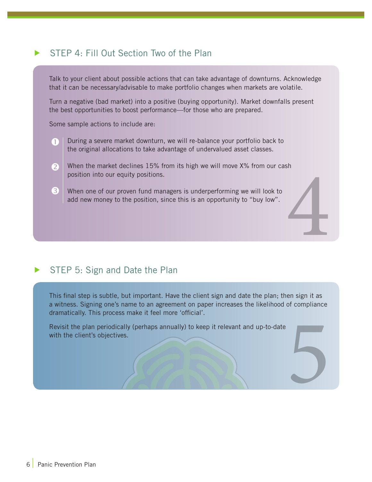# STEP 4: Fill Out Section Two of the Plan

Talk to your client about possible actions that can take advantage of downturns. Acknowledge that it can be necessary/advisable to make portfolio changes when markets are volatile.

Turn a negative (bad market) into a positive (buying opportunity). Market downfalls present the best opportunities to boost performance—for those who are prepared.

Some sample actions to include are:

- During a severe market downturn, we will re-balance your portfolio back to the original allocations to take advantage of undervalued asset classes. A
- When the market declines 15% from its high we will move X% from our cash position into our equity positions. 4 2
- When one of our proven fund managers is underperforming we will look to add new money to the position, since this is an opportunity to "buy low". 6

## STEP 5: Sign and Date the Plan

This final step is subtle, but important. Have the client sign and date the plan; then sign it as a witness. Signing one's name to an agreement on paper increases the likelihood of compliance dramatically. This process make it feel more 'official'. 5

Revisit the plan periodically (perhaps annually) to keep it relevant and up-to-date with the client's objectives.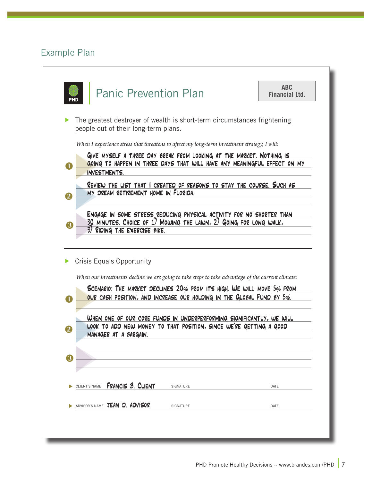# Example Plan

| PHD                         | <b>Panic Prevention Plan</b>                                                                                                                                                                                   | <b>ABC</b><br><b>Financial Ltd.</b> |
|-----------------------------|----------------------------------------------------------------------------------------------------------------------------------------------------------------------------------------------------------------|-------------------------------------|
|                             | The greatest destroyer of wealth is short-term circumstances frightening<br>people out of their long-term plans.                                                                                               |                                     |
|                             | When I experience stress that threatens to affect my long-term investment strategy, I will:                                                                                                                    |                                     |
|                             | GIVE MYSELF A THREE DAY BREAK FROM LOOKING AT THE MARKET. NOTHING IS<br>GOING TO HAPPEN IN THREE DAYS THAT WILL HAVE ANY MEANINGFUL EFFECT ON MY<br>INVESTMENTS.                                               |                                     |
| 2                           | REVIEW THE LIST THAT I CREATED OF REASONS TO STAY THE COURSE. SUCH AS<br>MY DREAM RETIREMENT HOME IN FLORIDA.                                                                                                  |                                     |
|                             | 30 MINUTES. CHOICE OF 1) MOWING THE LAWN, 2) GOING FOR LONG WALK,<br>3) RIDING THE EXERCISE BIKE.                                                                                                              |                                     |
|                             | <b>Crisis Equals Opportunity</b><br>When our investments decline we are going to take steps to take advantage of the current climate:<br>SCENARIO: THE MARKET DECLINES 20% FROM ITS HIGH. WE WILL MOVE 5% FROM |                                     |
|                             | OUR CASH POSITION, AND INCREASE OUR HOLDING IN THE GLOBAL FUND BY 5%.                                                                                                                                          |                                     |
|                             | WHEN ONE OF OUR CORE FUNDS IN UNDERPERFORMING SIGNIFICANTLY, WE WILL<br>LOOK TO ADD NEW MONEY TO THAT POSITION, SINCE WE'RE GETTING A GOOD<br>MANAGER AT A BARGAIN.                                            |                                     |
|                             |                                                                                                                                                                                                                |                                     |
| 6<br>O<br>$\mathbf{2}$<br>3 | FRANCIS 8. CLIENT<br>CLIENT'S NAME<br>SIGNATURE                                                                                                                                                                | DATE                                |